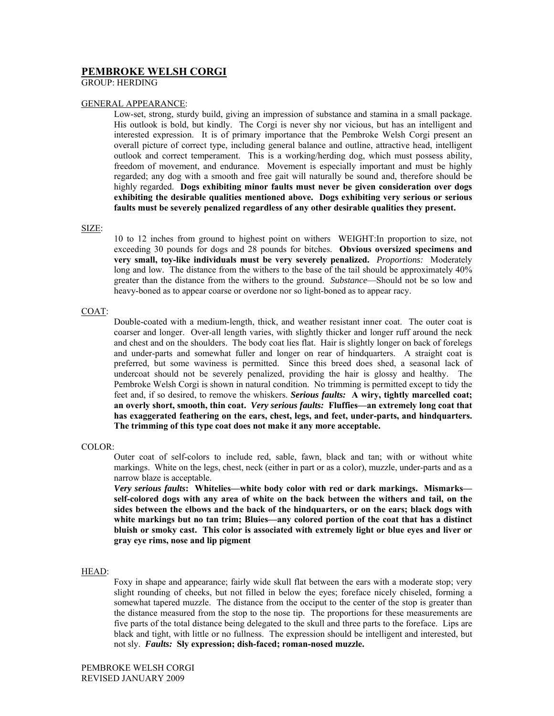# **PEMBROKE WELSH CORGI**

GROUP: HERDING

## GENERAL APPEARANCE:

Low-set, strong, sturdy build, giving an impression of substance and stamina in a small package. His outlook is bold, but kindly. The Corgi is never shy nor vicious, but has an intelligent and interested expression. It is of primary importance that the Pembroke Welsh Corgi present an overall picture of correct type, including general balance and outline, attractive head, intelligent outlook and correct temperament. This is a working/herding dog, which must possess ability, freedom of movement, and endurance. Movement is especially important and must be highly regarded; any dog with a smooth and free gait will naturally be sound and, therefore should be highly regarded. **Dogs exhibiting minor faults must never be given consideration over dogs exhibiting the desirable qualities mentioned above. Dogs exhibiting very serious or serious faults must be severely penalized regardless of any other desirable qualities they present.** 

## SIZE:

10 to 12 inches from ground to highest point on withers WEIGHT:In proportion to size, not exceeding 30 pounds for dogs and 28 pounds for bitches. **Obvious oversized specimens and very small, toy-like individuals must be very severely penalized.** *Proportions:* Moderately long and low. The distance from the withers to the base of the tail should be approximately 40% greater than the distance from the withers to the ground. *Substance*—Should not be so low and heavy-boned as to appear coarse or overdone nor so light-boned as to appear racy.

## COAT:

Double-coated with a medium-length, thick, and weather resistant inner coat. The outer coat is coarser and longer. Over-all length varies, with slightly thicker and longer ruff around the neck and chest and on the shoulders. The body coat lies flat. Hair is slightly longer on back of forelegs and under-parts and somewhat fuller and longer on rear of hindquarters. A straight coat is preferred, but some waviness is permitted. Since this breed does shed, a seasonal lack of undercoat should not be severely penalized, providing the hair is glossy and healthy. The Pembroke Welsh Corgi is shown in natural condition. No trimming is permitted except to tidy the feet and, if so desired, to remove the whiskers. *Serious faults:* **A wiry, tightly marcelled coat; an overly short, smooth, thin coat.** *Very serious faults:* **Fluffies—an extremely long coat that has exaggerated feathering on the ears, chest, legs, and feet, under-parts, and hindquarters. The trimming of this type coat does not make it any more acceptable.** 

## COLOR:

Outer coat of self-colors to include red, sable, fawn, black and tan; with or without white markings. White on the legs, chest, neck (either in part or as a color), muzzle, under-parts and as a narrow blaze is acceptable.

*Very serious faults***: Whitelies—white body color with red or dark markings. Mismarks self-colored dogs with any area of white on the back between the withers and tail, on the sides between the elbows and the back of the hindquarters, or on the ears; black dogs with white markings but no tan trim; Bluies—any colored portion of the coat that has a distinct bluish or smoky cast. This color is associated with extremely light or blue eyes and liver or gray eye rims, nose and lip pigment** 

## HEAD:

Foxy in shape and appearance; fairly wide skull flat between the ears with a moderate stop; very slight rounding of cheeks, but not filled in below the eyes; foreface nicely chiseled, forming a somewhat tapered muzzle. The distance from the occiput to the center of the stop is greater than the distance measured from the stop to the nose tip. The proportions for these measurements are five parts of the total distance being delegated to the skull and three parts to the foreface. Lips are black and tight, with little or no fullness. The expression should be intelligent and interested, but not sly. *Faults:* **Sly expression; dish-faced; roman-nosed muzzle.**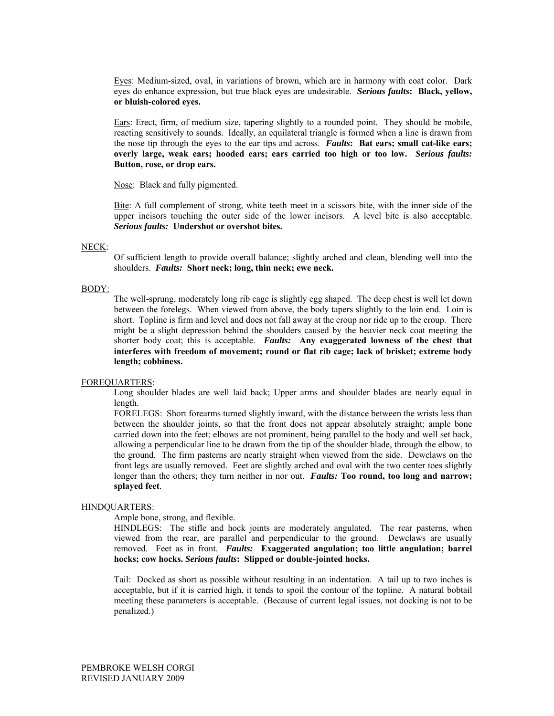Eyes: Medium-sized, oval, in variations of brown, which are in harmony with coat color. Dark eyes do enhance expression, but true black eyes are undesirable. *Serious faults***: Black, yellow, or bluish-colored eyes.** 

Ears: Erect, firm, of medium size, tapering slightly to a rounded point. They should be mobile, reacting sensitively to sounds. Ideally, an equilateral triangle is formed when a line is drawn from the nose tip through the eyes to the ear tips and across. *Faults***: Bat ears; small cat-like ears; overly large, weak ears; hooded ears; ears carried too high or too low.** *Serious faults:* **Button, rose, or drop ears.** 

Nose: Black and fully pigmented.

Bite: A full complement of strong, white teeth meet in a scissors bite, with the inner side of the upper incisors touching the outer side of the lower incisors. A level bite is also acceptable. *Serious faults:* **Undershot or overshot bites.** 

#### NECK:

Of sufficient length to provide overall balance; slightly arched and clean, blending well into the shoulders. *Faults:* **Short neck; long, thin neck; ewe neck.**

## BODY:

The well-sprung, moderately long rib cage is slightly egg shaped. The deep chest is well let down between the forelegs. When viewed from above, the body tapers slightly to the loin end. Loin is short. Topline is firm and level and does not fall away at the croup nor ride up to the croup. There might be a slight depression behind the shoulders caused by the heavier neck coat meeting the shorter body coat; this is acceptable. *Faults:* **Any exaggerated lowness of the chest that interferes with freedom of movement; round or flat rib cage; lack of brisket; extreme body length; cobbiness.** 

#### FOREQUARTERS:

Long shoulder blades are well laid back; Upper arms and shoulder blades are nearly equal in length.

FORELEGS: Short forearms turned slightly inward, with the distance between the wrists less than between the shoulder joints, so that the front does not appear absolutely straight; ample bone carried down into the feet; elbows are not prominent, being parallel to the body and well set back, allowing a perpendicular line to be drawn from the tip of the shoulder blade, through the elbow, to the ground. The firm pasterns are nearly straight when viewed from the side. Dewclaws on the front legs are usually removed. Feet are slightly arched and oval with the two center toes slightly longer than the others; they turn neither in nor out. *Faults:* **Too round, too long and narrow; splayed feet**.

## HINDQUARTERS:

#### Ample bone, strong, and flexible.

HINDLEGS: The stifle and hock joints are moderately angulated. The rear pasterns, when viewed from the rear, are parallel and perpendicular to the ground. Dewclaws are usually removed. Feet as in front. *Faults:* **Exaggerated angulation; too little angulation; barrel hocks; cow hocks.** *Serious faults***: Slipped or double-jointed hocks.** 

Tail: Docked as short as possible without resulting in an indentation. A tail up to two inches is acceptable, but if it is carried high, it tends to spoil the contour of the topline. A natural bobtail meeting these parameters is acceptable. (Because of current legal issues, not docking is not to be penalized.)